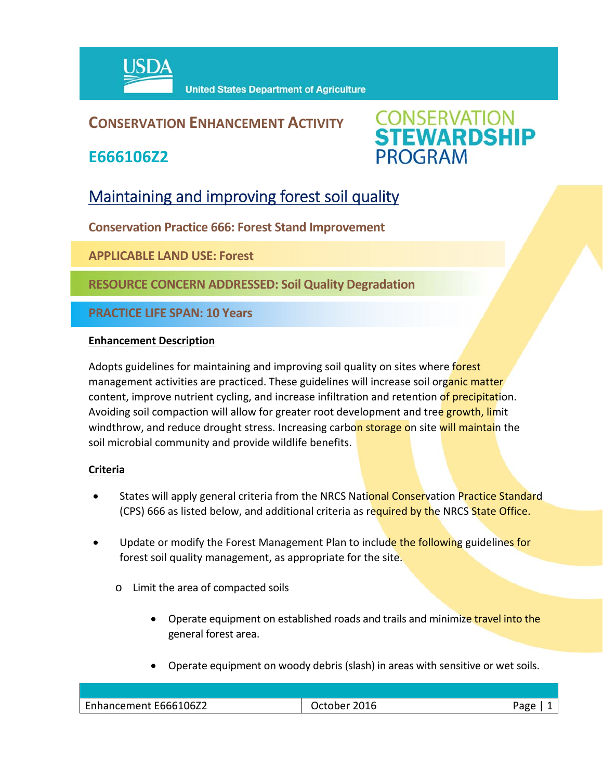

# **CONSERVATION ENHANCEMENT ACTIVITY**

**E666106Z2**



# Maintaining and improving forest soil quality

**Conservation Practice 666: Forest Stand Improvement**

**APPLICABLE LAND USE: Forest**

**RESOURCE CONCERN ADDRESSED: Soil Quality Degradation**

**PRACTICE LIFE SPAN: 10 Years**

#### **Enhancement Description**

Adopts guidelines for maintaining and improving soil quality on sites where forest management activities are practiced. These guidelines will increase soil organic matter content, improve nutrient cycling, and increase infiltration and retention of precipitation. Avoiding soil compaction will allow for greater root development and tree growth, limit windthrow, and reduce drought stress. Increasing carbon storage on site will maintain the soil microbial community and provide wildlife benefits.

## **Criteria**

- States will apply general criteria from the NRCS National Conservation Practice Standard (CPS) 666 as listed below, and additional criteria as required by the NRCS State Office.
- Update or modify the Forest Management Plan to include the following guidelines for forest soil quality management, as appropriate for the site.
	- o Limit the area of compacted soils
		- Operate equipment on established roads and trails and minimize travel into the general forest area.
		- Operate equipment on woody debris (slash) in areas with sensitive or wet soils.

| Enhancement E666106Z2 | ∩סבי |
|-----------------------|------|
|                       |      |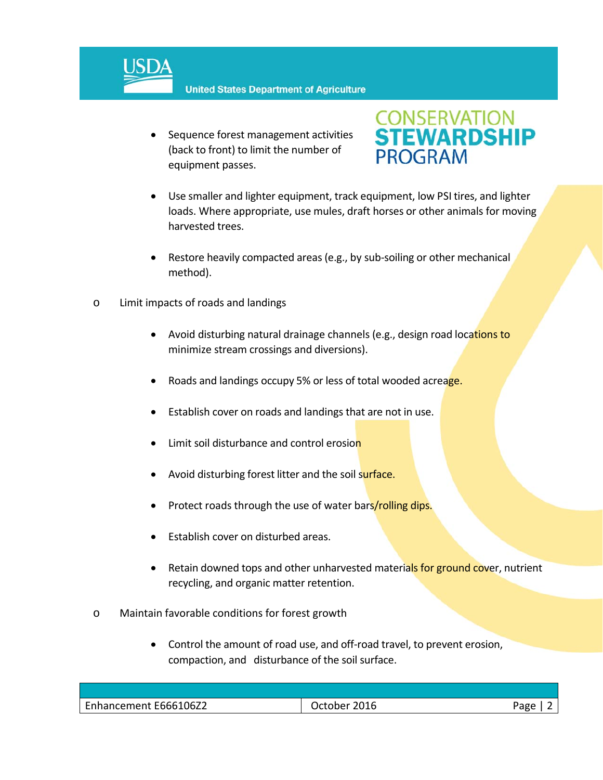

• Sequence forest management activities (back to front) to limit the number of equipment passes.



- Use smaller and lighter equipment, track equipment, low PSI tires, and lighter loads. Where appropriate, use mules, draft horses or other animals for moving harvested trees.
- Restore heavily compacted areas (e.g., by sub-soiling or other mechanical method).
- o Limit impacts of roads and landings
	- Avoid disturbing natural drainage channels (e.g., design road locations to minimize stream crossings and diversions).
	- Roads and landings occupy 5% or less of total wooded acreage.
	- Establish cover on roads and landings that are not in use.
	- Limit soil disturbance and control erosion
	- Avoid disturbing forest litter and the soil surface.
	- Protect roads through the use of water bars/rolling dips.
	- Establish cover on disturbed areas.
	- Retain downed tops and other unharvested materials for ground cover, nutrient recycling, and organic matter retention.
- o Maintain favorable conditions for forest growth
	- Control the amount of road use, and off-road travel, to prevent erosion, compaction, and disturbance of the soil surface.

| Enhancement E666106Z2 | 2016<br>. )ctober . |  |
|-----------------------|---------------------|--|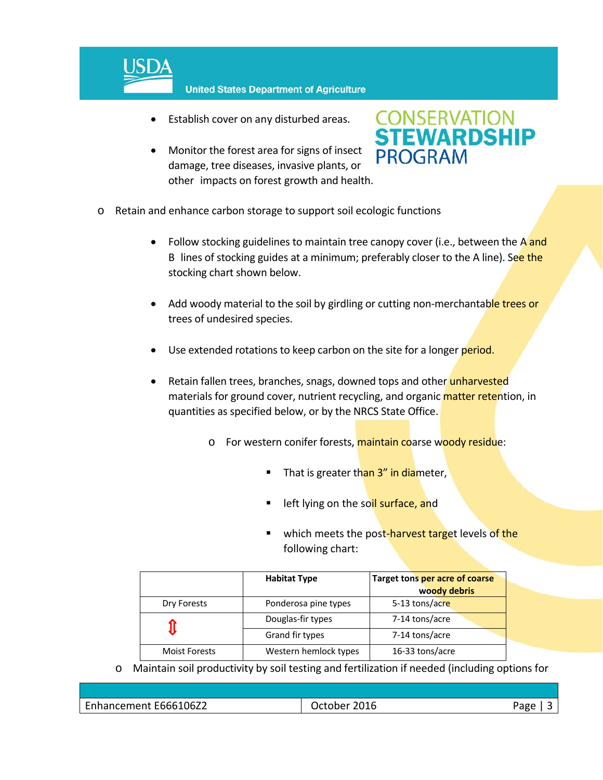

- Establish cover on any disturbed areas.
- Monitor the forest area for signs of insect damage, tree diseases, invasive plants, or other impacts on forest growth and health.



- o Retain and enhance carbon storage to support soil ecologic functions
	- Follow stocking guidelines to maintain tree canopy cover (i.e., between the A and B lines of stocking guides at a minimum; preferably closer to the A line). See the stocking chart shown below.
	- Add woody material to the soil by girdling or cutting non-merchantable trees or trees of undesired species.
	- Use extended rotations to keep carbon on the site for a longer period.
	- Retain fallen trees, branches, snags, downed tops and other unharvested materials for ground cover, nutrient recycling, and organic **matter retention**, in quantities as specified below, or by the NRCS State Office.
		- o For western conifer forests, maintain coarse woody residue:
			- That is greater than 3" in diameter,
			- **E** left lying on the soil surface, and
			- which meets the post-harvest target levels of the following chart:

|                      | <b>Habitat Type</b>   | Target tons per acre of coarse |
|----------------------|-----------------------|--------------------------------|
|                      |                       | woody debris                   |
| Dry Forests          | Ponderosa pine types  | 5-13 tons/acre                 |
|                      | Douglas-fir types     | 7-14 tons/acre                 |
|                      | Grand fir types       | 7-14 tons/acre                 |
| <b>Moist Forests</b> | Western hemlock types | 16-33 tons/acre                |

o Maintain soil productivity by soil testing and fertilization if needed (including options for

| 66106Z2<br>$\overline{\phantom{a}}$<br>Enhancement<br><b>Fhhh</b> | $n + n + n$<br>:UI0 | 20 C |
|-------------------------------------------------------------------|---------------------|------|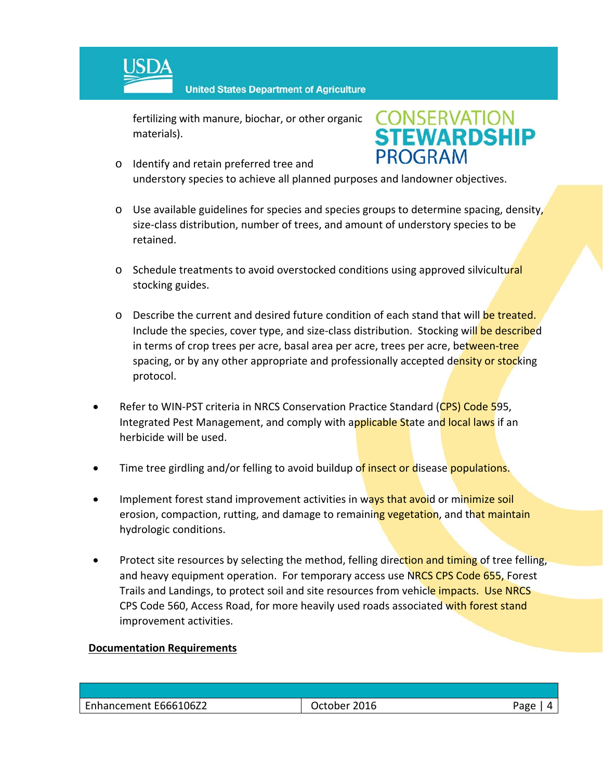

fertilizing with manure, biochar, or other organic materials).



- o Identify and retain preferred tree and understory species to achieve all planned purposes and landowner objectives.
- $\circ$  Use available guidelines for species and species groups to determine spacing, density, size‐class distribution, number of trees, and amount of understory species to be retained.
- o Schedule treatments to avoid overstocked conditions using approved silvicultural stocking guides.
- o Describe the current and desired future condition of each stand that will be treated. Include the species, cover type, and size-class distribution. Stocking will be described in terms of crop trees per acre, basal area per acre, trees per acre, between-tree spacing, or by any other appropriate and professionally accepted density or stocking protocol.
- Refer to WIN-PST criteria in NRCS Conservation Practice Standard (CPS) Code 595, Integrated Pest Management, and comply with applicable State and local laws if an herbicide will be used.
- Time tree girdling and/or felling to avoid buildup of insect or disease populations.
- Implement forest stand improvement activities in ways that avoid or minimize soil erosion, compaction, rutting, and damage to remaining vegetation, and that maintain hydrologic conditions.
- Protect site resources by selecting the method, felling direction and timing of tree felling, and heavy equipment operation. For temporary access use NRCS CPS Code 655, Forest Trails and Landings, to protect soil and site resources from vehicle impacts. Use NRCS CPS Code 560, Access Road, for more heavily used roads associated with forest stand improvement activities.

## **Documentation Requirements**

| Enhancement E666106Z2 | 2016<br><i><b>October</b></i> | Page |
|-----------------------|-------------------------------|------|